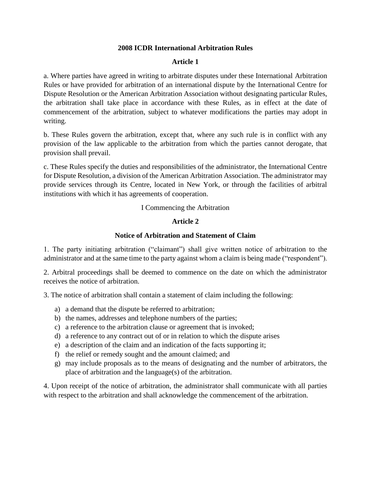#### **2008 ICDR International Arbitration Rules**

#### **Article 1**

a. Where parties have agreed in writing to arbitrate disputes under these International Arbitration Rules or have provided for arbitration of an international dispute by the International Centre for Dispute Resolution or the American Arbitration Association without designating particular Rules, the arbitration shall take place in accordance with these Rules, as in effect at the date of commencement of the arbitration, subject to whatever modifications the parties may adopt in writing.

b. These Rules govern the arbitration, except that, where any such rule is in conflict with any provision of the law applicable to the arbitration from which the parties cannot derogate, that provision shall prevail.

c. These Rules specify the duties and responsibilities of the administrator, the International Centre for Dispute Resolution, a division of the American Arbitration Association. The administrator may provide services through its Centre, located in New York, or through the facilities of arbitral institutions with which it has agreements of cooperation.

I Commencing the Arbitration

# **Article 2**

# **Notice of Arbitration and Statement of Claim**

1. The party initiating arbitration ("claimant") shall give written notice of arbitration to the administrator and at the same time to the party against whom a claim is being made ("respondent").

2. Arbitral proceedings shall be deemed to commence on the date on which the administrator receives the notice of arbitration.

3. The notice of arbitration shall contain a statement of claim including the following:

- a) a demand that the dispute be referred to arbitration;
- b) the names, addresses and telephone numbers of the parties;
- c) a reference to the arbitration clause or agreement that is invoked;
- d) a reference to any contract out of or in relation to which the dispute arises
- e) a description of the claim and an indication of the facts supporting it;
- f) the relief or remedy sought and the amount claimed; and
- g) may include proposals as to the means of designating and the number of arbitrators, the place of arbitration and the language(s) of the arbitration.

4. Upon receipt of the notice of arbitration, the administrator shall communicate with all parties with respect to the arbitration and shall acknowledge the commencement of the arbitration.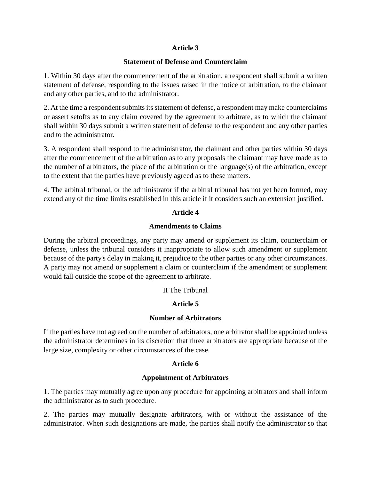# **Article 3**

#### **Statement of Defense and Counterclaim**

1. Within 30 days after the commencement of the arbitration, a respondent shall submit a written statement of defense, responding to the issues raised in the notice of arbitration, to the claimant and any other parties, and to the administrator.

2. At the time a respondent submits its statement of defense, a respondent may make counterclaims or assert setoffs as to any claim covered by the agreement to arbitrate, as to which the claimant shall within 30 days submit a written statement of defense to the respondent and any other parties and to the administrator.

3. A respondent shall respond to the administrator, the claimant and other parties within 30 days after the commencement of the arbitration as to any proposals the claimant may have made as to the number of arbitrators, the place of the arbitration or the language(s) of the arbitration, except to the extent that the parties have previously agreed as to these matters.

4. The arbitral tribunal, or the administrator if the arbitral tribunal has not yet been formed, may extend any of the time limits established in this article if it considers such an extension justified.

# **Article 4**

# **Amendments to Claims**

During the arbitral proceedings, any party may amend or supplement its claim, counterclaim or defense, unless the tribunal considers it inappropriate to allow such amendment or supplement because of the party's delay in making it, prejudice to the other parties or any other circumstances. A party may not amend or supplement a claim or counterclaim if the amendment or supplement would fall outside the scope of the agreement to arbitrate.

II The Tribunal

# **Article 5**

# **Number of Arbitrators**

If the parties have not agreed on the number of arbitrators, one arbitrator shall be appointed unless the administrator determines in its discretion that three arbitrators are appropriate because of the large size, complexity or other circumstances of the case.

# **Article 6**

# **Appointment of Arbitrators**

1. The parties may mutually agree upon any procedure for appointing arbitrators and shall inform the administrator as to such procedure.

2. The parties may mutually designate arbitrators, with or without the assistance of the administrator. When such designations are made, the parties shall notify the administrator so that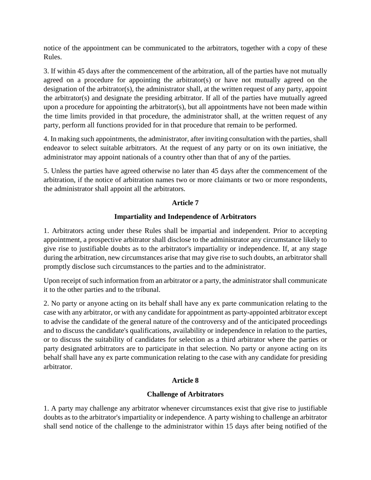notice of the appointment can be communicated to the arbitrators, together with a copy of these Rules.

3. If within 45 days after the commencement of the arbitration, all of the parties have not mutually agreed on a procedure for appointing the arbitrator(s) or have not mutually agreed on the designation of the arbitrator(s), the administrator shall, at the written request of any party, appoint the arbitrator(s) and designate the presiding arbitrator. If all of the parties have mutually agreed upon a procedure for appointing the arbitrator(s), but all appointments have not been made within the time limits provided in that procedure, the administrator shall, at the written request of any party, perform all functions provided for in that procedure that remain to be performed.

4. In making such appointments, the administrator, after inviting consultation with the parties, shall endeavor to select suitable arbitrators. At the request of any party or on its own initiative, the administrator may appoint nationals of a country other than that of any of the parties.

5. Unless the parties have agreed otherwise no later than 45 days after the commencement of the arbitration, if the notice of arbitration names two or more claimants or two or more respondents, the administrator shall appoint all the arbitrators.

# **Article 7**

# **Impartiality and Independence of Arbitrators**

1. Arbitrators acting under these Rules shall be impartial and independent. Prior to accepting appointment, a prospective arbitrator shall disclose to the administrator any circumstance likely to give rise to justifiable doubts as to the arbitrator's impartiality or independence. If, at any stage during the arbitration, new circumstances arise that may give rise to such doubts, an arbitrator shall promptly disclose such circumstances to the parties and to the administrator.

Upon receipt of such information from an arbitrator or a party, the administrator shall communicate it to the other parties and to the tribunal.

2. No party or anyone acting on its behalf shall have any ex parte communication relating to the case with any arbitrator, or with any candidate for appointment as party-appointed arbitrator except to advise the candidate of the general nature of the controversy and of the anticipated proceedings and to discuss the candidate's qualifications, availability or independence in relation to the parties, or to discuss the suitability of candidates for selection as a third arbitrator where the parties or party designated arbitrators are to participate in that selection. No party or anyone acting on its behalf shall have any ex parte communication relating to the case with any candidate for presiding arbitrator.

# **Article 8**

# **Challenge of Arbitrators**

1. A party may challenge any arbitrator whenever circumstances exist that give rise to justifiable doubts as to the arbitrator's impartiality or independence. A party wishing to challenge an arbitrator shall send notice of the challenge to the administrator within 15 days after being notified of the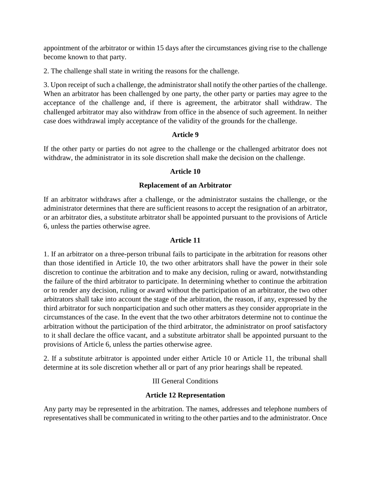appointment of the arbitrator or within 15 days after the circumstances giving rise to the challenge become known to that party.

2. The challenge shall state in writing the reasons for the challenge.

3. Upon receipt of such a challenge, the administrator shall notify the other parties of the challenge. When an arbitrator has been challenged by one party, the other party or parties may agree to the acceptance of the challenge and, if there is agreement, the arbitrator shall withdraw. The challenged arbitrator may also withdraw from office in the absence of such agreement. In neither case does withdrawal imply acceptance of the validity of the grounds for the challenge.

#### **Article 9**

If the other party or parties do not agree to the challenge or the challenged arbitrator does not withdraw, the administrator in its sole discretion shall make the decision on the challenge.

# **Article 10**

#### **Replacement of an Arbitrator**

If an arbitrator withdraws after a challenge, or the administrator sustains the challenge, or the administrator determines that there are sufficient reasons to accept the resignation of an arbitrator, or an arbitrator dies, a substitute arbitrator shall be appointed pursuant to the provisions of Article 6, unless the parties otherwise agree.

#### **Article 11**

1. If an arbitrator on a three-person tribunal fails to participate in the arbitration for reasons other than those identified in Article 10, the two other arbitrators shall have the power in their sole discretion to continue the arbitration and to make any decision, ruling or award, notwithstanding the failure of the third arbitrator to participate. In determining whether to continue the arbitration or to render any decision, ruling or award without the participation of an arbitrator, the two other arbitrators shall take into account the stage of the arbitration, the reason, if any, expressed by the third arbitrator for such nonparticipation and such other matters as they consider appropriate in the circumstances of the case. In the event that the two other arbitrators determine not to continue the arbitration without the participation of the third arbitrator, the administrator on proof satisfactory to it shall declare the office vacant, and a substitute arbitrator shall be appointed pursuant to the provisions of Article 6, unless the parties otherwise agree.

2. If a substitute arbitrator is appointed under either Article 10 or Article 11, the tribunal shall determine at its sole discretion whether all or part of any prior hearings shall be repeated.

III General Conditions

# **Article 12 Representation**

Any party may be represented in the arbitration. The names, addresses and telephone numbers of representatives shall be communicated in writing to the other parties and to the administrator. Once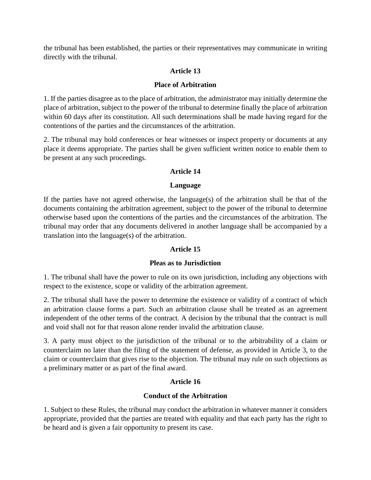the tribunal has been established, the parties or their representatives may communicate in writing directly with the tribunal.

#### **Article 13**

#### **Place of Arbitration**

1. If the parties disagree as to the place of arbitration, the administrator may initially determine the place of arbitration, subject to the power of the tribunal to determine finally the place of arbitration within 60 days after its constitution. All such determinations shall be made having regard for the contentions of the parties and the circumstances of the arbitration.

2. The tribunal may hold conferences or hear witnesses or inspect property or documents at any place it deems appropriate. The parties shall be given sufficient written notice to enable them to be present at any such proceedings.

# **Article 14**

#### **Language**

If the parties have not agreed otherwise, the language(s) of the arbitration shall be that of the documents containing the arbitration agreement, subject to the power of the tribunal to determine otherwise based upon the contentions of the parties and the circumstances of the arbitration. The tribunal may order that any documents delivered in another language shall be accompanied by a translation into the language(s) of the arbitration.

#### **Article 15**

#### **Pleas as to Jurisdiction**

1. The tribunal shall have the power to rule on its own jurisdiction, including any objections with respect to the existence, scope or validity of the arbitration agreement.

2. The tribunal shall have the power to determine the existence or validity of a contract of which an arbitration clause forms a part. Such an arbitration clause shall be treated as an agreement independent of the other terms of the contract. A decision by the tribunal that the contract is null and void shall not for that reason alone render invalid the arbitration clause.

3. A party must object to the jurisdiction of the tribunal or to the arbitrability of a claim or counterclaim no later than the filing of the statement of defense, as provided in Article 3, to the claim or counterclaim that gives rise to the objection. The tribunal may rule on such objections as a preliminary matter or as part of the final award.

# **Article 16**

# **Conduct of the Arbitration**

1. Subject to these Rules, the tribunal may conduct the arbitration in whatever manner it considers appropriate, provided that the parties are treated with equality and that each party has the right to be heard and is given a fair opportunity to present its case.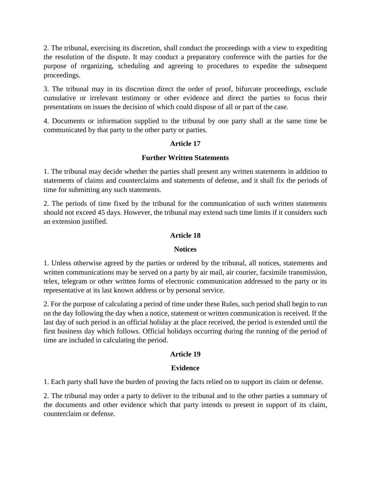2. The tribunal, exercising its discretion, shall conduct the proceedings with a view to expediting the resolution of the dispute. It may conduct a preparatory conference with the parties for the purpose of organizing, scheduling and agreeing to procedures to expedite the subsequent proceedings.

3. The tribunal may in its discretion direct the order of proof, bifurcate proceedings, exclude cumulative or irrelevant testimony or other evidence and direct the parties to focus their presentations on issues the decision of which could dispose of all or part of the case.

4. Documents or information supplied to the tribunal by one party shall at the same time be communicated by that party to the other party or parties.

# **Article 17**

#### **Further Written Statements**

1. The tribunal may decide whether the parties shall present any written statements in addition to statements of claims and counterclaims and statements of defense, and it shall fix the periods of time for submitting any such statements.

2. The periods of time fixed by the tribunal for the communication of such written statements should not exceed 45 days. However, the tribunal may extend such time limits if it considers such an extension justified.

#### **Article 18**

#### **Notices**

1. Unless otherwise agreed by the parties or ordered by the tribunal, all notices, statements and written communications may be served on a party by air mail, air courier, facsimile transmission, telex, telegram or other written forms of electronic communication addressed to the party or its representative at its last known address or by personal service.

2. For the purpose of calculating a period of time under these Rules, such period shall begin to run on the day following the day when a notice, statement or written communication is received. If the last day of such period is an official holiday at the place received, the period is extended until the first business day which follows. Official holidays occurring during the running of the period of time are included in calculating the period.

# **Article 19**

#### **Evidence**

1. Each party shall have the burden of proving the facts relied on to support its claim or defense.

2. The tribunal may order a party to deliver to the tribunal and to the other parties a summary of the documents and other evidence which that party intends to present in support of its claim, counterclaim or defense.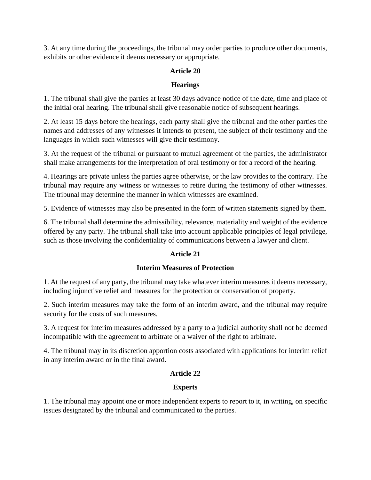3. At any time during the proceedings, the tribunal may order parties to produce other documents, exhibits or other evidence it deems necessary or appropriate.

# **Article 20**

# **Hearings**

1. The tribunal shall give the parties at least 30 days advance notice of the date, time and place of the initial oral hearing. The tribunal shall give reasonable notice of subsequent hearings.

2. At least 15 days before the hearings, each party shall give the tribunal and the other parties the names and addresses of any witnesses it intends to present, the subject of their testimony and the languages in which such witnesses will give their testimony.

3. At the request of the tribunal or pursuant to mutual agreement of the parties, the administrator shall make arrangements for the interpretation of oral testimony or for a record of the hearing.

4. Hearings are private unless the parties agree otherwise, or the law provides to the contrary. The tribunal may require any witness or witnesses to retire during the testimony of other witnesses. The tribunal may determine the manner in which witnesses are examined.

5. Evidence of witnesses may also be presented in the form of written statements signed by them.

6. The tribunal shall determine the admissibility, relevance, materiality and weight of the evidence offered by any party. The tribunal shall take into account applicable principles of legal privilege, such as those involving the confidentiality of communications between a lawyer and client.

# **Article 21**

# **Interim Measures of Protection**

1. At the request of any party, the tribunal may take whatever interim measures it deems necessary, including injunctive relief and measures for the protection or conservation of property.

2. Such interim measures may take the form of an interim award, and the tribunal may require security for the costs of such measures.

3. A request for interim measures addressed by a party to a judicial authority shall not be deemed incompatible with the agreement to arbitrate or a waiver of the right to arbitrate.

4. The tribunal may in its discretion apportion costs associated with applications for interim relief in any interim award or in the final award.

# **Article 22**

# **Experts**

1. The tribunal may appoint one or more independent experts to report to it, in writing, on specific issues designated by the tribunal and communicated to the parties.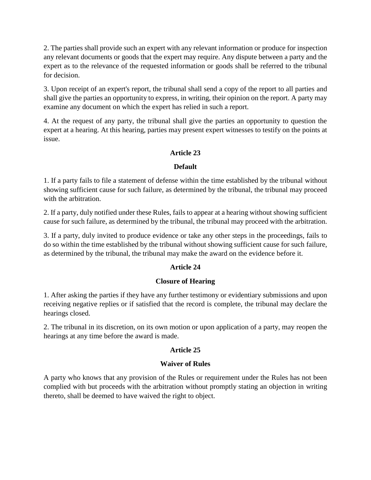2. The parties shall provide such an expert with any relevant information or produce for inspection any relevant documents or goods that the expert may require. Any dispute between a party and the expert as to the relevance of the requested information or goods shall be referred to the tribunal for decision.

3. Upon receipt of an expert's report, the tribunal shall send a copy of the report to all parties and shall give the parties an opportunity to express, in writing, their opinion on the report. A party may examine any document on which the expert has relied in such a report.

4. At the request of any party, the tribunal shall give the parties an opportunity to question the expert at a hearing. At this hearing, parties may present expert witnesses to testify on the points at issue.

# **Article 23**

#### **Default**

1. If a party fails to file a statement of defense within the time established by the tribunal without showing sufficient cause for such failure, as determined by the tribunal, the tribunal may proceed with the arbitration.

2. If a party, duly notified under these Rules, fails to appear at a hearing without showing sufficient cause for such failure, as determined by the tribunal, the tribunal may proceed with the arbitration.

3. If a party, duly invited to produce evidence or take any other steps in the proceedings, fails to do so within the time established by the tribunal without showing sufficient cause for such failure, as determined by the tribunal, the tribunal may make the award on the evidence before it.

# **Article 24**

#### **Closure of Hearing**

1. After asking the parties if they have any further testimony or evidentiary submissions and upon receiving negative replies or if satisfied that the record is complete, the tribunal may declare the hearings closed.

2. The tribunal in its discretion, on its own motion or upon application of a party, may reopen the hearings at any time before the award is made.

# **Article 25**

#### **Waiver of Rules**

A party who knows that any provision of the Rules or requirement under the Rules has not been complied with but proceeds with the arbitration without promptly stating an objection in writing thereto, shall be deemed to have waived the right to object.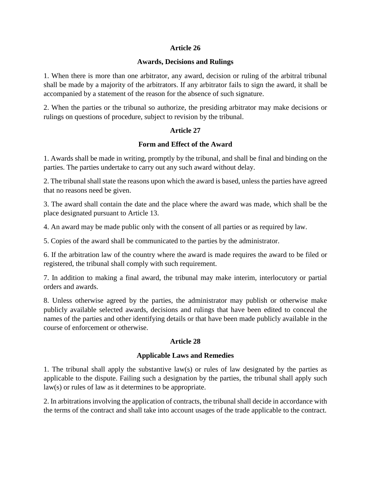#### **Article 26**

#### **Awards, Decisions and Rulings**

1. When there is more than one arbitrator, any award, decision or ruling of the arbitral tribunal shall be made by a majority of the arbitrators. If any arbitrator fails to sign the award, it shall be accompanied by a statement of the reason for the absence of such signature.

2. When the parties or the tribunal so authorize, the presiding arbitrator may make decisions or rulings on questions of procedure, subject to revision by the tribunal.

# **Article 27**

# **Form and Effect of the Award**

1. Awards shall be made in writing, promptly by the tribunal, and shall be final and binding on the parties. The parties undertake to carry out any such award without delay.

2. The tribunal shall state the reasons upon which the award is based, unless the parties have agreed that no reasons need be given.

3. The award shall contain the date and the place where the award was made, which shall be the place designated pursuant to Article 13.

4. An award may be made public only with the consent of all parties or as required by law.

5. Copies of the award shall be communicated to the parties by the administrator.

6. If the arbitration law of the country where the award is made requires the award to be filed or registered, the tribunal shall comply with such requirement.

7. In addition to making a final award, the tribunal may make interim, interlocutory or partial orders and awards.

8. Unless otherwise agreed by the parties, the administrator may publish or otherwise make publicly available selected awards, decisions and rulings that have been edited to conceal the names of the parties and other identifying details or that have been made publicly available in the course of enforcement or otherwise.

# **Article 28**

# **Applicable Laws and Remedies**

1. The tribunal shall apply the substantive law(s) or rules of law designated by the parties as applicable to the dispute. Failing such a designation by the parties, the tribunal shall apply such law(s) or rules of law as it determines to be appropriate.

2. In arbitrations involving the application of contracts, the tribunal shall decide in accordance with the terms of the contract and shall take into account usages of the trade applicable to the contract.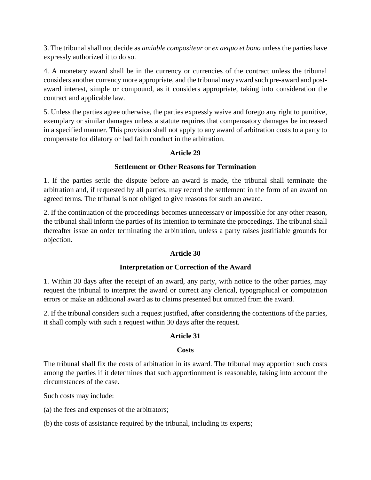3. The tribunal shall not decide as *amiable compositeur* or *ex aequo et bono* unless the parties have expressly authorized it to do so.

4. A monetary award shall be in the currency or currencies of the contract unless the tribunal considers another currency more appropriate, and the tribunal may award such pre-award and postaward interest, simple or compound, as it considers appropriate, taking into consideration the contract and applicable law.

5. Unless the parties agree otherwise, the parties expressly waive and forego any right to punitive, exemplary or similar damages unless a statute requires that compensatory damages be increased in a specified manner. This provision shall not apply to any award of arbitration costs to a party to compensate for dilatory or bad faith conduct in the arbitration.

# **Article 29**

# **Settlement or Other Reasons for Termination**

1. If the parties settle the dispute before an award is made, the tribunal shall terminate the arbitration and, if requested by all parties, may record the settlement in the form of an award on agreed terms. The tribunal is not obliged to give reasons for such an award.

2. If the continuation of the proceedings becomes unnecessary or impossible for any other reason, the tribunal shall inform the parties of its intention to terminate the proceedings. The tribunal shall thereafter issue an order terminating the arbitration, unless a party raises justifiable grounds for objection.

# **Article 30**

# **Interpretation or Correction of the Award**

1. Within 30 days after the receipt of an award, any party, with notice to the other parties, may request the tribunal to interpret the award or correct any clerical, typographical or computation errors or make an additional award as to claims presented but omitted from the award.

2. If the tribunal considers such a request justified, after considering the contentions of the parties, it shall comply with such a request within 30 days after the request.

# **Article 31**

# **Costs**

The tribunal shall fix the costs of arbitration in its award. The tribunal may apportion such costs among the parties if it determines that such apportionment is reasonable, taking into account the circumstances of the case.

Such costs may include:

(a) the fees and expenses of the arbitrators;

(b) the costs of assistance required by the tribunal, including its experts;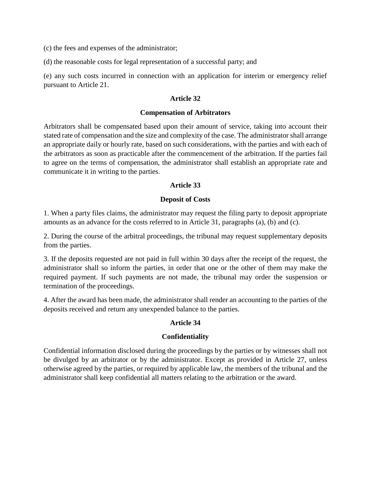(c) the fees and expenses of the administrator;

(d) the reasonable costs for legal representation of a successful party; and

(e) any such costs incurred in connection with an application for interim or emergency relief pursuant to Article 21.

#### **Article 32**

#### **Compensation of Arbitrators**

Arbitrators shall be compensated based upon their amount of service, taking into account their stated rate of compensation and the size and complexity of the case. The administrator shall arrange an appropriate daily or hourly rate, based on such considerations, with the parties and with each of the arbitrators as soon as practicable after the commencement of the arbitration. If the parties fail to agree on the terms of compensation, the administrator shall establish an appropriate rate and communicate it in writing to the parties.

# **Article 33**

# **Deposit of Costs**

1. When a party files claims, the administrator may request the filing party to deposit appropriate amounts as an advance for the costs referred to in Article 31, paragraphs (a), (b) and (c).

2. During the course of the arbitral proceedings, the tribunal may request supplementary deposits from the parties.

3. If the deposits requested are not paid in full within 30 days after the receipt of the request, the administrator shall so inform the parties, in order that one or the other of them may make the required payment. If such payments are not made, the tribunal may order the suspension or termination of the proceedings.

4. After the award has been made, the administrator shall render an accounting to the parties of the deposits received and return any unexpended balance to the parties.

# **Article 34**

# **Confidentiality**

Confidential information disclosed during the proceedings by the parties or by witnesses shall not be divulged by an arbitrator or by the administrator. Except as provided in Article 27, unless otherwise agreed by the parties, or required by applicable law, the members of the tribunal and the administrator shall keep confidential all matters relating to the arbitration or the award.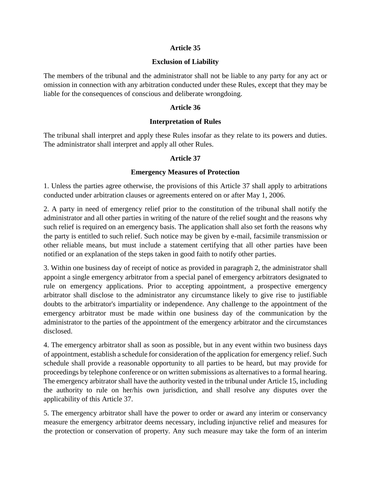#### **Article 35**

#### **Exclusion of Liability**

The members of the tribunal and the administrator shall not be liable to any party for any act or omission in connection with any arbitration conducted under these Rules, except that they may be liable for the consequences of conscious and deliberate wrongdoing.

#### **Article 36**

#### **Interpretation of Rules**

The tribunal shall interpret and apply these Rules insofar as they relate to its powers and duties. The administrator shall interpret and apply all other Rules.

#### **Article 37**

#### **Emergency Measures of Protection**

1. Unless the parties agree otherwise, the provisions of this Article 37 shall apply to arbitrations conducted under arbitration clauses or agreements entered on or after May 1, 2006.

2. A party in need of emergency relief prior to the constitution of the tribunal shall notify the administrator and all other parties in writing of the nature of the relief sought and the reasons why such relief is required on an emergency basis. The application shall also set forth the reasons why the party is entitled to such relief. Such notice may be given by e-mail, facsimile transmission or other reliable means, but must include a statement certifying that all other parties have been notified or an explanation of the steps taken in good faith to notify other parties.

3. Within one business day of receipt of notice as provided in paragraph 2, the administrator shall appoint a single emergency arbitrator from a special panel of emergency arbitrators designated to rule on emergency applications. Prior to accepting appointment, a prospective emergency arbitrator shall disclose to the administrator any circumstance likely to give rise to justifiable doubts to the arbitrator's impartiality or independence. Any challenge to the appointment of the emergency arbitrator must be made within one business day of the communication by the administrator to the parties of the appointment of the emergency arbitrator and the circumstances disclosed.

4. The emergency arbitrator shall as soon as possible, but in any event within two business days of appointment, establish a schedule for consideration of the application for emergency relief. Such schedule shall provide a reasonable opportunity to all parties to be heard, but may provide for proceedings by telephone conference or on written submissions as alternatives to a formal hearing. The emergency arbitrator shall have the authority vested in the tribunal under Article 15, including the authority to rule on her/his own jurisdiction, and shall resolve any disputes over the applicability of this Article 37.

5. The emergency arbitrator shall have the power to order or award any interim or conservancy measure the emergency arbitrator deems necessary, including injunctive relief and measures for the protection or conservation of property. Any such measure may take the form of an interim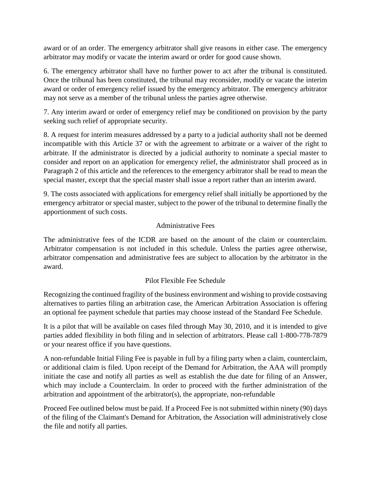award or of an order. The emergency arbitrator shall give reasons in either case. The emergency arbitrator may modify or vacate the interim award or order for good cause shown.

6. The emergency arbitrator shall have no further power to act after the tribunal is constituted. Once the tribunal has been constituted, the tribunal may reconsider, modify or vacate the interim award or order of emergency relief issued by the emergency arbitrator. The emergency arbitrator may not serve as a member of the tribunal unless the parties agree otherwise.

7. Any interim award or order of emergency relief may be conditioned on provision by the party seeking such relief of appropriate security.

8. A request for interim measures addressed by a party to a judicial authority shall not be deemed incompatible with this Article 37 or with the agreement to arbitrate or a waiver of the right to arbitrate. If the administrator is directed by a judicial authority to nominate a special master to consider and report on an application for emergency relief, the administrator shall proceed as in Paragraph 2 of this article and the references to the emergency arbitrator shall be read to mean the special master, except that the special master shall issue a report rather than an interim award.

9. The costs associated with applications for emergency relief shall initially be apportioned by the emergency arbitrator or special master, subject to the power of the tribunal to determine finally the apportionment of such costs.

# Administrative Fees

The administrative fees of the ICDR are based on the amount of the claim or counterclaim. Arbitrator compensation is not included in this schedule. Unless the parties agree otherwise, arbitrator compensation and administrative fees are subject to allocation by the arbitrator in the award.

# Pilot Flexible Fee Schedule

Recognizing the continued fragility of the business environment and wishing to provide costsaving alternatives to parties filing an arbitration case, the American Arbitration Association is offering an optional fee payment schedule that parties may choose instead of the Standard Fee Schedule.

It is a pilot that will be available on cases filed through May 30, 2010, and it is intended to give parties added flexibility in both filing and in selection of arbitrators. Please call 1-800-778-7879 or your nearest office if you have questions.

A non-refundable Initial Filing Fee is payable in full by a filing party when a claim, counterclaim, or additional claim is filed. Upon receipt of the Demand for Arbitration, the AAA will promptly initiate the case and notify all parties as well as establish the due date for filing of an Answer, which may include a Counterclaim. In order to proceed with the further administration of the arbitration and appointment of the arbitrator(s), the appropriate, non-refundable

Proceed Fee outlined below must be paid. If a Proceed Fee is not submitted within ninety (90) days of the filing of the Claimant's Demand for Arbitration, the Association will administratively close the file and notify all parties.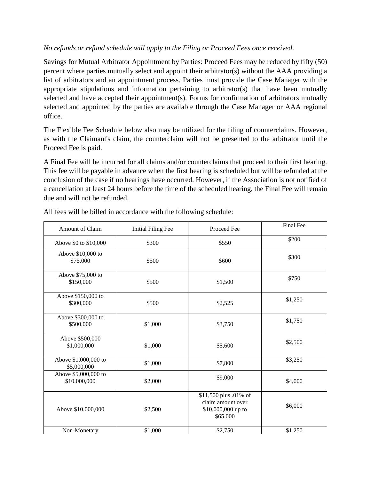# *No refunds or refund schedule will apply to the Filing or Proceed Fees once received*.

Savings for Mutual Arbitrator Appointment by Parties: Proceed Fees may be reduced by fifty (50) percent where parties mutually select and appoint their arbitrator(s) without the AAA providing a list of arbitrators and an appointment process. Parties must provide the Case Manager with the appropriate stipulations and information pertaining to arbitrator(s) that have been mutually selected and have accepted their appointment(s). Forms for confirmation of arbitrators mutually selected and appointed by the parties are available through the Case Manager or AAA regional office.

The Flexible Fee Schedule below also may be utilized for the filing of counterclaims. However, as with the Claimant's claim, the counterclaim will not be presented to the arbitrator until the Proceed Fee is paid.

A Final Fee will be incurred for all claims and/or counterclaims that proceed to their first hearing. This fee will be payable in advance when the first hearing is scheduled but will be refunded at the conclusion of the case if no hearings have occurred. However, if the Association is not notified of a cancellation at least 24 hours before the time of the scheduled hearing, the Final Fee will remain due and will not be refunded.

| Amount of Claim                      | <b>Initial Filing Fee</b> | Proceed Fee                                                                  | Final Fee |
|--------------------------------------|---------------------------|------------------------------------------------------------------------------|-----------|
| Above \$0 to \$10,000                | \$300                     | \$550                                                                        | \$200     |
| Above \$10,000 to<br>\$75,000        | \$500                     | \$600                                                                        | \$300     |
| Above \$75,000 to<br>\$150,000       | \$500                     | \$1,500                                                                      | \$750     |
| Above \$150,000 to<br>\$300,000      | \$500                     | \$2,525                                                                      | \$1,250   |
| Above \$300,000 to<br>\$500,000      | \$1,000                   | \$3,750                                                                      | \$1,750   |
| Above \$500,000<br>\$1,000,000       | \$1,000                   | \$5,600                                                                      | \$2,500   |
| Above \$1,000,000 to<br>\$5,000,000  | \$1,000                   | \$7,800                                                                      | \$3,250   |
| Above \$5,000,000 to<br>\$10,000,000 | \$2,000                   | \$9,000                                                                      | \$4,000   |
| Above \$10,000,000                   | \$2,500                   | \$11,500 plus .01% of<br>claim amount over<br>\$10,000,000 up to<br>\$65,000 | \$6,000   |
| Non-Monetary                         | \$1,000                   | \$2,750                                                                      | \$1,250   |

All fees will be billed in accordance with the following schedule: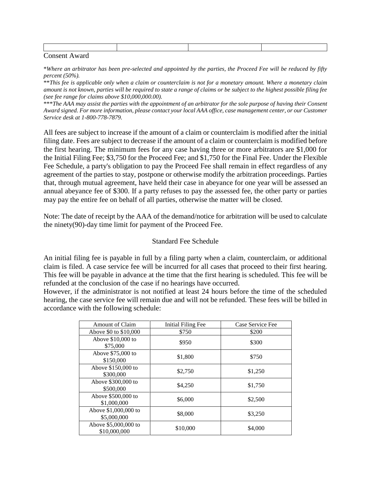| ⌒<br>√`∩nsent⊹<br>$-2$<br>AVSITI.<br>VALIMATI<br>. |  |  |
|----------------------------------------------------|--|--|

\**Where an arbitrator has been pre-selected and appointed by the parties, the Proceed Fee will be reduced by fifty percent (50%).*

\*\**This fee is applicable only when a claim or counterclaim is not for a monetary amount. Where a monetary claim amount is not known, parties will be required to state a range of claims or be subject to the highest possible filing fee (see fee range for claims above \$10,000,000.00).*

\*\*\**The AAA may assist the parties with the appointment of an arbitrator for the sole purpose of having their Consent Award signed. For more information, please contact your local AAA office, case management center, or our Customer Service desk at 1-800-778-7879.*

All fees are subject to increase if the amount of a claim or counterclaim is modified after the initial filing date. Fees are subject to decrease if the amount of a claim or counterclaim is modified before the first hearing. The minimum fees for any case having three or more arbitrators are \$1,000 for the Initial Filing Fee; \$3,750 for the Proceed Fee; and \$1,750 for the Final Fee. Under the Flexible Fee Schedule, a party's obligation to pay the Proceed Fee shall remain in effect regardless of any agreement of the parties to stay, postpone or otherwise modify the arbitration proceedings. Parties that, through mutual agreement, have held their case in abeyance for one year will be assessed an annual abeyance fee of \$300. If a party refuses to pay the assessed fee, the other party or parties may pay the entire fee on behalf of all parties, otherwise the matter will be closed.

Note: The date of receipt by the AAA of the demand/notice for arbitration will be used to calculate the ninety(90)-day time limit for payment of the Proceed Fee.

#### Standard Fee Schedule

An initial filing fee is payable in full by a filing party when a claim, counterclaim, or additional claim is filed. A case service fee will be incurred for all cases that proceed to their first hearing. This fee will be payable in advance at the time that the first hearing is scheduled. This fee will be refunded at the conclusion of the case if no hearings have occurred.

However, if the administrator is not notified at least 24 hours before the time of the scheduled hearing, the case service fee will remain due and will not be refunded. These fees will be billed in accordance with the following schedule:

| Amount of Claim                      | Initial Filing Fee | Case Service Fee |
|--------------------------------------|--------------------|------------------|
| Above \$0 to \$10,000                | \$750              | \$200            |
| Above \$10,000 to<br>\$75,000        | \$950              | \$300            |
| Above \$75,000 to<br>\$150,000       | \$1,800            | \$750            |
| Above \$150,000 to<br>\$300,000      | \$2,750            | \$1,250          |
| Above \$300,000 to<br>\$500,000      | \$4,250            | \$1,750          |
| Above \$500,000 to<br>\$1,000,000    | \$6,000            | \$2,500          |
| Above \$1,000,000 to<br>\$5,000,000  | \$8,000            | \$3,250          |
| Above \$5,000,000 to<br>\$10,000,000 | \$10,000           | \$4,000          |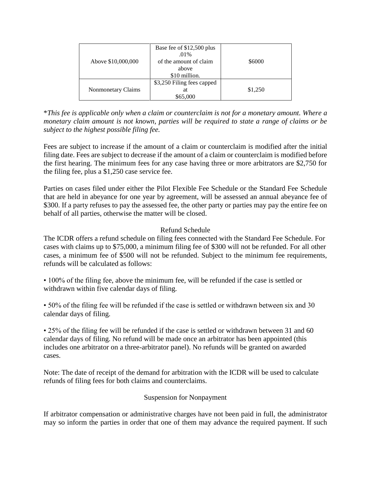|                    | Base fee of \$12,500 plus<br>$.01\%$             |         |  |
|--------------------|--------------------------------------------------|---------|--|
| Above \$10,000,000 | of the amount of claim<br>above<br>\$10 million. | \$6000  |  |
|                    | \$3,250 Filing fees capped                       |         |  |
| Nonmonetary Claims | at                                               | \$1,250 |  |
|                    | \$65,000                                         |         |  |

\**This fee is applicable only when a claim or counterclaim is not for a monetary amount. Where a monetary claim amount is not known, parties will be required to state a range of claims or be subject to the highest possible filing fee.*

Fees are subject to increase if the amount of a claim or counterclaim is modified after the initial filing date. Fees are subject to decrease if the amount of a claim or counterclaim is modified before the first hearing. The minimum fees for any case having three or more arbitrators are \$2,750 for the filing fee, plus a \$1,250 case service fee.

Parties on cases filed under either the Pilot Flexible Fee Schedule or the Standard Fee Schedule that are held in abeyance for one year by agreement, will be assessed an annual abeyance fee of \$300. If a party refuses to pay the assessed fee, the other party or parties may pay the entire fee on behalf of all parties, otherwise the matter will be closed.

# Refund Schedule

The ICDR offers a refund schedule on filing fees connected with the Standard Fee Schedule. For cases with claims up to \$75,000, a minimum filing fee of \$300 will not be refunded. For all other cases, a minimum fee of \$500 will not be refunded. Subject to the minimum fee requirements, refunds will be calculated as follows:

• 100% of the filing fee, above the minimum fee, will be refunded if the case is settled or withdrawn within five calendar days of filing.

• 50% of the filing fee will be refunded if the case is settled or withdrawn between six and 30 calendar days of filing.

• 25% of the filing fee will be refunded if the case is settled or withdrawn between 31 and 60 calendar days of filing. No refund will be made once an arbitrator has been appointed (this includes one arbitrator on a three-arbitrator panel). No refunds will be granted on awarded cases.

Note: The date of receipt of the demand for arbitration with the ICDR will be used to calculate refunds of filing fees for both claims and counterclaims.

# Suspension for Nonpayment

If arbitrator compensation or administrative charges have not been paid in full, the administrator may so inform the parties in order that one of them may advance the required payment. If such